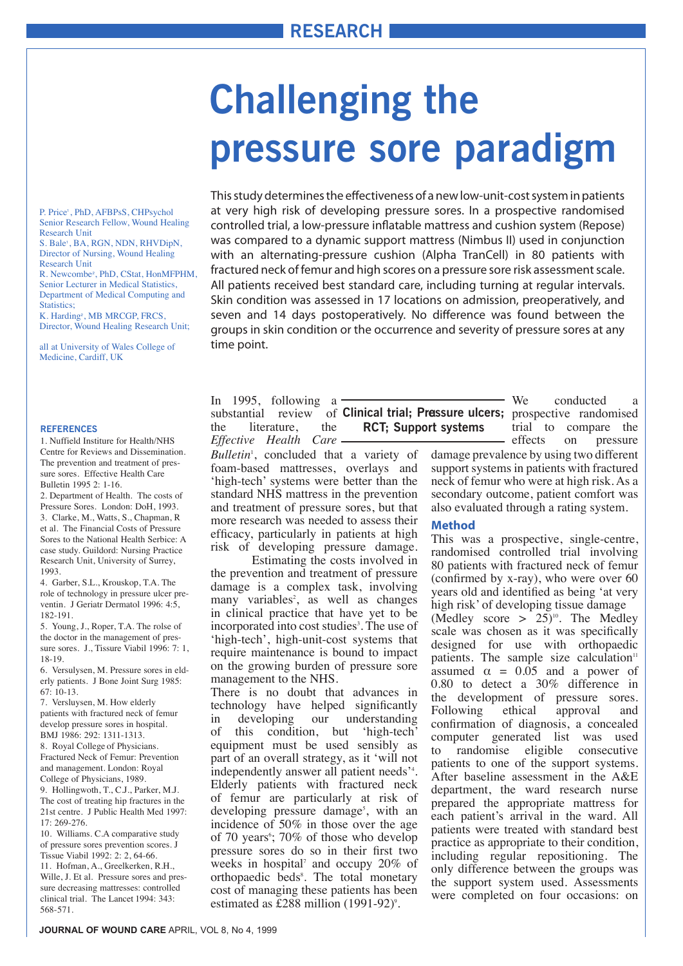# **Challenging the pressure sore paradigm**

P. Price<sup>4</sup>, PhD, AFBPsS, CHPsychol Senior Research Fellow, Wound Healing Research Unit

S. Bale<sup>1</sup>, BA, RGN, NDN, RHVDipN, Director of Nursing, Wound Healing Research Unit

R. Newcombe<sup>2</sup>, PhD, CStat, HonMFPHM, Senior Lecturer in Medical Statistics, Department of Medical Computing and Statistics:

K. Harding<sup>2</sup>, MB MRCGP, FRCS, Director, Wound Healing Research Unit;

all at University of Wales College of Medicine, Cardiff, UK

#### **REFERENCES**

1. Nuffield Institure for Health/NHS Centre for Reviews and Dissemination. The prevention and treatment of pressure sores. Effective Health Care Bulletin 1995 2: 1-16.

2. Department of Health. The costs of Pressure Sores. London: DoH, 1993. 3. Clarke, M., Watts, S., Chapman, R et al. The Financial Costs of Pressure Sores to the National Health Serbice: A case study. Guildord: Nursing Practice Research Unit, University of Surrey, 1993.

4. Garber, S.L., Krouskop, T.A. The role of technology in pressure ulcer preventin. J Geriatr Dermatol 1996: 4:5, 182-191.

5. Young, J., Roper, T.A. The rolse of the doctor in the management of pressure sores. J., Tissure Viabil 1996: 7: 1, 18-19.

6. Versulysen, M. Pressure sores in elderly patients. J Bone Joint Surg 1985: 67: 10-13.

7. Versluysen, M. How elderly patients with fractured neck of femur develop pressure sores in hospital. BMJ 1986: 292: 1311-1313.

8. Royal College of Physicians. Fractured Neck of Femur: Prevention and management. London: Royal College of Physicians, 1989.

9. Hollingwoth, T., C.J., Parker, M.J. The cost of treating hip fractures in the 21st centre. J Public Health Med 1997:  $17.269 - 276$ 

10. Williams. C.A comparative study of pressure sores prevention scores. J Tissue Viabil 1992: 2: 2, 64-66. 11. Hofman, A., Greelkerken, R.H., Wille, J. Et al. Pressure sores and pressure decreasing mattresses: controlled clinical trial. The Lancet 1994: 343: 568-571.

This study determines the effectiveness of a new low-unit-cost system This study determines the effectiveness of a new low-unit-cost system in patients at very high risk of developing pressure sores. In a prospective randomised controlled trial, a low-pressure inflatable mattress and cushion system (Repose) was compared to a dynamic support mattress (Nimbus II) used in conjunction with an alternating-pressure cushion (Alpha TranCell) in 80 patients with fractured neck of femur and high scores on a pressure sore risk assessment scale. All patients received best standard care, including turning at regular intervals. Skin condition was assessed in 17 locations on admission, preoperatively, and seven and 14 days postoperatively. No difference was found between the groups in skin condition or the occurrence and severity of pressure sores at any time point. The occurrence and severity of the occurrence and severity of the occurrence and severity of the o

In 1995, following a In 1995, following a substantial review of the literature, the the literature, the *Effective Health Care Effective Health Care*

Bulletin<sup>1</sup>, concluded that a variety of foam-based mattresses, overlays and foam-based mattresses, overlays and 'high-tech' systems were better than the standard NHS mattress in the prevention standard NHS mattress in the prevention and treatment of pressure sores, but that and treatment of pressure sores, but that more research was needed to assess more research was needed to assess their efficacy, particularly in patients at high risk of developing pressure damage.

the prevention and treatment of pressure damage is a complex task, involving  $many^{\sim}$  variables<sup>2</sup>, as well as changes in clinical practice that have yet to be incorporated into cost studies<sup>3</sup>. The use of incorporated into cost studies . The 3 'high-tech', high-unit-cost systems that require maintenance is bound to impact on the growing burden of pressure sore on the growing burden of pressure sorts Estimating the costs involved in

management to the NHS.<br>There is no doubt that advances in There is no doubt that advances in technology have helped significantly<br>in developing our understanding developing our understanding of this of this condition, but 'high-tech' condition, but 'high-tech' equipment equipment must be used sensibly as must be used sensibly as part of an over-part of an overall strategy, as it 'will not part of an overall strategy, as it will not<br>independently answer all patient needs<sup>34</sup>. meependently answer all patient needs.<br>Elderly patients with fractured neck patients with fractured neck of femur are particularly at risk of developing pressure damage<sup>5</sup>, with an  $\frac{1}{2}$  in these sure the second incidence of  $50\%$  in those over the age of 70 years<sup> $\circ$ </sup>; 70% of those who develop pressure sores do so in their first two weeks in hospital<sup>7</sup> and occupy  $20\%$  of orthopaedic beds<sup>8</sup>. The total monetary cost of managing these patients has been<br>cost of managing these patients has been estimated as £288 million  $(1991-92)$ <sup>9</sup>. in developing our understanding

substantial review of **Clinical trial; Pressure ulcers;** prospective randomised **RCT; Support systems**

We conducted  $\epsilon$ trial to compare the effects on pressure We conducted a

damage prevalence by using two different support systems in patients with fractured neck of femur who were at high risk. As a secondary outcome, patient comfort was also evaluated through a rating system.

### **Method**

This was a prospective, single-centre, andomised controlled that involving 80 patients with fractured neck of femur<br> $\frac{(conformed by x, \text{rev})}{(conformed by x, \text{rev})}$ (confirmed by x-ray), who were over  $60$ <br>verms ald and identified as heime ist year. years old and identified as being 'at very high risk' of developing tissue damage<br> $(A<sub>1</sub>)]$  $(Medley score > 25)^{10}$ . The Medley randomised controlled trial involving

scale was chosen as it was specifically designed for use with orthopaedic patients. The sample size calculation<sup>11</sup> assumed  $\alpha = 0.05$  and a power of  $0.80$  to detect a  $30\%$  difference in the development of pressure sores. Following ethical confirmation of diagnosis, a concealed computer generated list was used to randomise eligible consecutive patients to one of the support systems. After baseline assessment in the A&E department, the ward research nurse prepared the appropriate mattress for each patient's arrival in the ward. All patients were treated with standard best practice as appropriate to their condition, including regular repositioning. The only difference between the groups was the support system used. Assessments were completed on four occasions: on approval and

completed on four occasions: on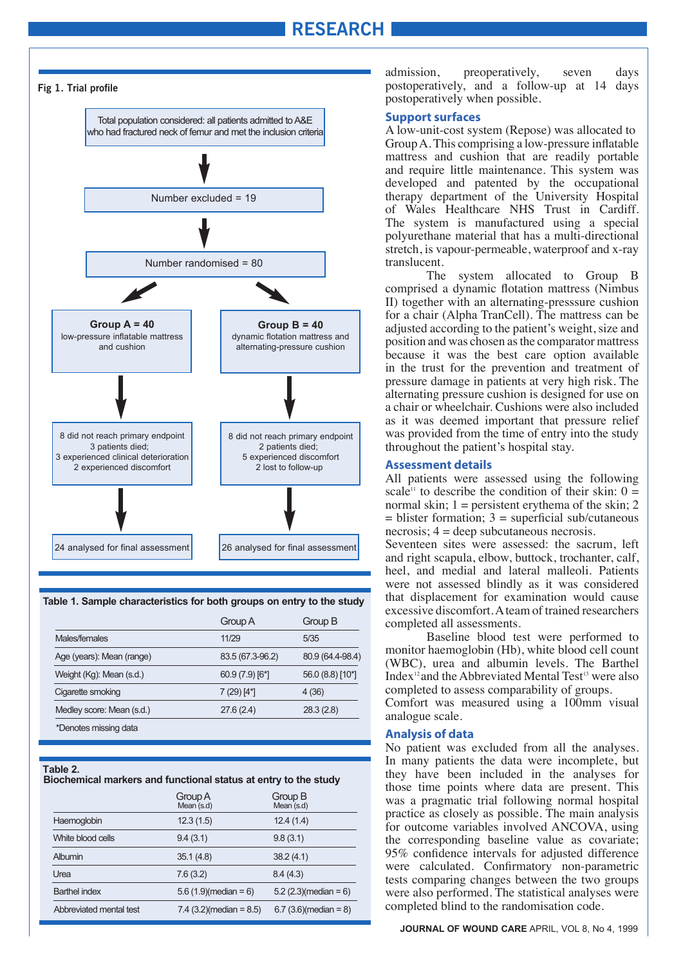## **RESEARCH**



**Table 1. Sample characteristics for both groups on entry to the study**

|                           | Group A          | Group B          |
|---------------------------|------------------|------------------|
| Males/females             | 11/29            | 5/35             |
| Age (years): Mean (range) | 83.5 (67.3-96.2) | 80.9 (64.4-98.4) |
| Weight (Kg): Mean (s.d.)  | $60.9(7.9)[6*]$  | 56.0 (8.8) [10*] |
| Cigarette smoking         | $7(29)$ [4*]     | 4(36)            |
| Medley score: Mean (s.d.) | 27.6(2.4)        | 28.3(2.8)        |
| *Denotes missing data     |                  |                  |

#### **Table 2.**

#### **Biochemical markers and functional status at entry to the study**

|                         | Group A<br>Mean (s.d)     | Group B<br>Mean (s.d)   |
|-------------------------|---------------------------|-------------------------|
| Haemoglobin             | 12.3(1.5)                 | 12.4(1.4)               |
| White blood cells       | 9.4(3.1)                  | 9.8(3.1)                |
| Albumin                 | 35.1(4.8)                 | 38.2(4.1)               |
| Urea                    | 7.6(3.2)                  | 8.4(4.3)                |
| <b>Barthel index</b>    | $5.6(1.9)$ (median = 6)   | $5.2$ (2.3)(median = 6) |
| Abbreviated mental test | $7.4$ (3.2)(median = 8.5) | $6.7(3.6)$ (median = 8) |

admission, preoperatively, seven days postoperatively, and a follow-up at 14 days postoperatively when possible.

#### **Support surfaces**

**Support surfaces** A low-unit-cost system (Repose) was allocated to A low-unit-cost system (Repose) was allocated to Group A. This comprising a low-pressure inflatable Group  $A$ . This comprising a low-pressure inflatable mattress and cushion that are readily portable<br>and require little maintanance. This system was and require little maintenance. This system was<br>developed and retarted by the essentianal developed and patented by the occupational<br>there we depend the University Herrital therapy department of the University Hospital of Wales Healthcare NHS Trust in Cardiff. The system is manufactured using a special polyurethane material that has a multi-directional stretch, is vapour-permeable, waterproof and x-ray translucent.

The system allocated to Group B comprised a dynamic flotation mattress (Nimbus II) together with an alternating-presssure cushion a chair (Alpha TranCell). The mattress can be for a chair (Alpha TranCell). The mattress can be adjusted according to the patient's weight, size and adjusted according to the patient's weight, size and position and was chosen as the comparator mattress because it was the best care option available in the trust for the prevention and treatment of in the trust for the prevention and treatment of pressure damage in patients at very high risk. The pressure damage in patients at very high risk. The alternating pressure cushion is designed for use on alternating pressure cushion is designed for use on a chair or wheelchair. Cushions were also included as it was deemed important that pressure relief was provided from the time of entry into the study was provided from the time of entry into the study throughout the patient's hospital stay. throughout the patient's hospital stay.

#### **Assessment details**

**Assessment details** All patients were assessed using the following All patients were assessed using the following scale<sup>11</sup> to describe the condition of their skin:  $0 =$ scale to describe the condition of their skin:  $0 =$  normal skin; 1 = persistent erythema of the skin; 2 normal skin;  $1 -$  persistent erythema of the skin; 2  $=$  blister formation;  $3 =$  superficial sub/cutaneous  $\frac{1}{2}$  $n_{\text{excess}}$ ;  $4 = \text{deep solutions}$  necrosis. necrosis; 4 = deep subcutaneous necrosis.

Seventeen sites were assessed: the sacrum, left and right scapula, elbow, buttock, trochanter, calf, and right scapula, elbow, buttock, trochanter, calf, heel, and medial and lateral malleoli. Patients heel, and medial and lateral malleoli. Patients were not assessed blindly as it was considered that displacement for examination would cause sive discomfort. A team of trained researchers excessive discomfort. A team of trained researchers completed all assessments. completed all assessments.

Baseline blood test were performed to Baseline blood test were performed to monitor haemoglobin (Hb), white blood cell count (WBC), urea and albumin levels. The Barthel (WBC), urea and albumin levels. The Barthel Index<sup>12</sup> and the Abbreviated Mental Test<sup>13</sup> were also completed to assess comparability of groups.

Comfort was measured using a 100mm visual Comfort was measured using a 100mm visual analogue scale. analogue scale.

#### **Analysis of data**

**Analysis of data** No patient was excluded from all the analyses. No patient was excluded from all the analyses. In In many patients the data were incomplete, but many patients the data were incomplete, but they they have been included in the analyses for have been included in the analyses for those time those time points where data are present. This was a pragmatic trial following normal hospital was a pragmatic trial following normal hospital practice as closely as possible. The main analysis for outcome variables involved ANCOVA, using the corresponding baseline value as covariate; nce corresponding baseline value as covariate; 95% confidence intervals for adjusted difference  $f_{\text{G}}$  connuctive intervals for adjusted difference were calculated. Confirmatory non-parametric<br>tests comparing changes between the two groups tests comparing changes between the two groups were also performed. The statistical englypse were were also performed. The statistical analyses were completed blind to the grademisetical analyses were completed blind to the randomisation code.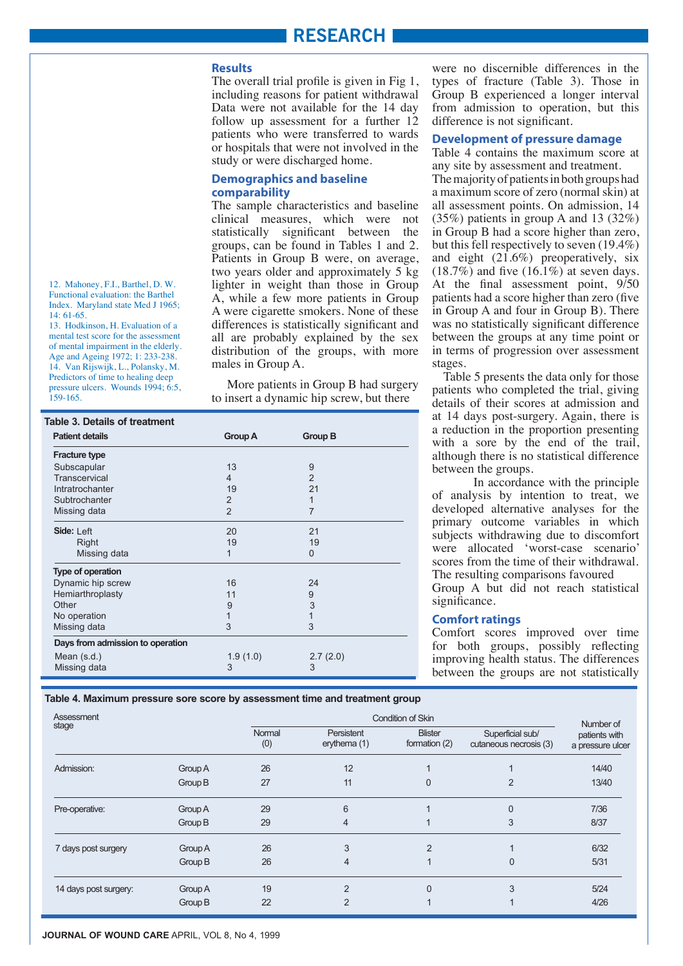#### **Results**

including reasons for patient withdrawal merdang reasons for parent windinawar<br>Data were not available for the 14 day  $a$  bata were not available for the  $14$  day follow up assessment for a further  $12$  $12$  patients who were transferred to wards diately will well transferred to wards or hospitals that were not involved in the<br>study or were discharged home study or were discharged home. The overall trial profile is given in Fig 1,

#### **Demographics and baseline** comparability

clinical measures, which were not statistically significant between the groups, can be found in Tables 1 and 2. Patients in Group B were, on average, two years older and approximately 5 kg lighter in weight than those in Group  $\widetilde{A}$ , while a few more patients in Group A were cigarette smokers. None of these differences is statistically significant and all are probably explained by the sex are the search suppose of the search distribution of the groups, with more males in Group  $A$  $\frac{1}{2}$ The sample characteristics and baseline males in Group A.

More patients in Group B had surgery More patients in Group B had surgery<br>to insert a dynamic hip screw, but there

| <b>Patient details</b>           | Group A        | <b>Group B</b> |  |
|----------------------------------|----------------|----------------|--|
| <b>Fracture type</b>             |                |                |  |
| Subscapular                      | 13             | 9              |  |
| Transcervical                    | 4              | $\overline{2}$ |  |
| Intratrochanter                  | 19             | 21             |  |
| Subtrochanter                    | $\overline{2}$ | 1              |  |
| Missing data                     | $\overline{2}$ | 7              |  |
| Side: Left                       | 20             | 21             |  |
| Right                            | 19             | 19             |  |
| Missing data                     | 1              | $\Omega$       |  |
| Type of operation                |                |                |  |
| Dynamic hip screw                | 16             | 24             |  |
| Hemiarthroplasty                 | 11             | 9              |  |
| Other                            | 9              | 3              |  |
| No operation                     | $\overline{1}$ |                |  |
| Missing data                     | 3              | 3              |  |
| Days from admission to operation |                |                |  |
| Mean $(s.d.)$                    | 1.9(1.0)       | 2.7(2.0)       |  |
| Missing data                     | 3              | 3              |  |

Group B experienced a longer interval  $\sum_{i=1}^{\infty}$  dependenced a longer interval from admission to operation, but this difference is not cionificant. difference is not significant. were no discernible differences in the types of fracture (Table 3). Those in

#### **Development of pressure damage**

Table 4 contains the maximum score at any site by assessment and treatment. a maximum score of zero (normal skin) at all assessment points. On admission, 14  $(35%)$  patients in group A and 13  $(32%)$ in Group B had a score higher than zero, but this fell respectively to seven  $(19.4\%)$ and eight  $(21.6\%)$  preoperatively, six  $(18.7\%)$  and five  $(16.1\%)$  at seven days. At the final assessment point,  $9/50$ patients had a score higher than zero (five in Group A and four in Group B). There m seven that find a monophy there was no statistically significant difference between the groups at any time point or B. There we state was no statement of procession over assessment in terms of progression over assessment<br>stages The majority of patients in both groups had stages.

In also Suges.<br>Table 5 presents the data only for those racic *s* presents the data only for those patients who completed the trial, giving patients who completed the that, giving at 14 days post-surgery. Again, there is at 14 days post-surgery. Again, there is<br>a reduction in the proportion presenting a reduction in the proportion presenting<br>with a sore by the end of the trail,  $\frac{1}{10}$  a sole by the end of the train, although there is no statistical difference<br>between the groups between the groups.

Euween the groups.<br>In accordance with the principle In accordance with the principle<br>of analysis by intention to treat, we developed alternative analyses for the primary outcome variables in which subjects withdrawing due to discomfort were allocated 'worst-case scenario' scores from the time of their withdrawal. The resulting comparisons favoured Group A but did not reach statistical

significance.

#### **Comfort ratings**

Comfort scores improved over time for both groups, possibly reflecting improving health status. The differences between the groups are not statistically

**Table 4. Maximum pressure sore score by assessment time and treatment group**

| Assessment            |         |               | Number of                  |                                 |                                            |                                   |
|-----------------------|---------|---------------|----------------------------|---------------------------------|--------------------------------------------|-----------------------------------|
| stage                 |         | Normal<br>(0) | Persistent<br>erythema (1) | <b>Blister</b><br>formation (2) | Superficial sub/<br>cutaneous necrosis (3) | patients with<br>a pressure ulcer |
| Admission:            | Group A | 26            | 12                         |                                 |                                            | 14/40                             |
|                       | Group B | 27            | 11                         | 0                               | $\overline{2}$                             | 13/40                             |
| Pre-operative:        | Group A | 29            | 6                          |                                 | $\Omega$                                   | 7/36                              |
|                       | Group B | 29            | 4                          |                                 | 3                                          | 8/37                              |
| 7 days post surgery   | Group A | 26            | 3                          | $\mathcal{P}$                   |                                            | 6/32                              |
|                       | Group B | 26            | 4                          |                                 | 0                                          | 5/31                              |
| 14 days post surgery: | Group A | 19            | $\overline{2}$             | $\mathbf{0}$                    | 3                                          | 5/24                              |
|                       | Group B | 22            | 2                          |                                 |                                            | 4/26                              |

12. Mahoney, F.I., Barthel, D. W. Functional evaluation: the Barthel Index. Maryland state Med J 1965; 14: 61-65.

13. Hodkinson, H. Evaluation of a mental test score for the assessment of mental impairment in the elderly. Age and Ageing 1972; 1: 233-238. 14. Van Rijswijk, L., Polansky, M. Predictors of time to healing deep pressure ulcers. Wounds  $1994$ ;  $\overline{6}$ :5, 159-165.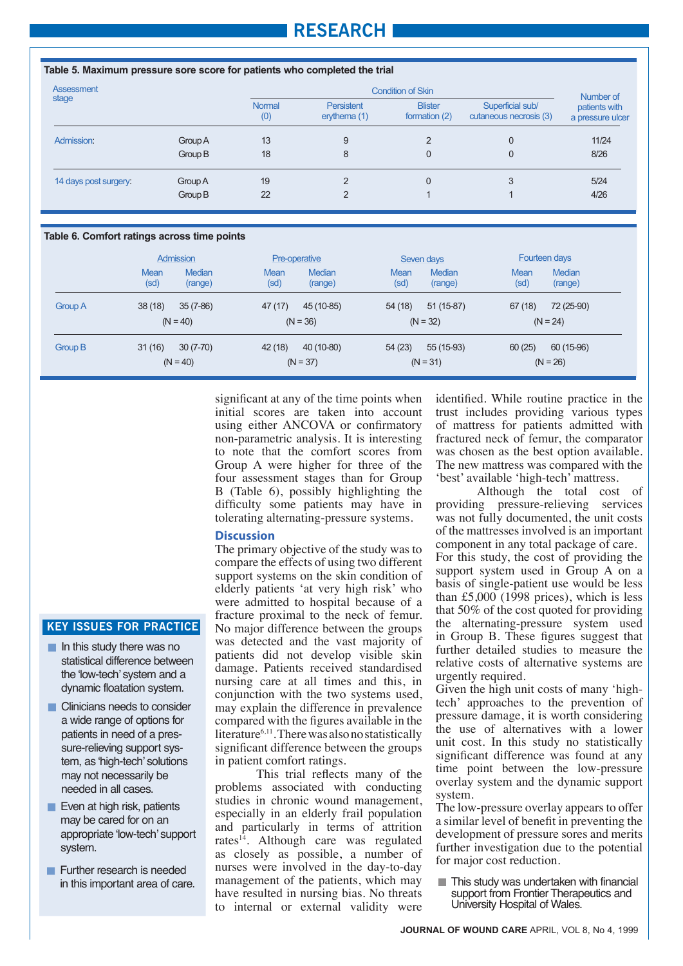## **RESEARCH**

| Table 5. Maximum pressure sore score for patients who completed the trial |         |                      |                              |                                 |                                            |                                   |  |
|---------------------------------------------------------------------------|---------|----------------------|------------------------------|---------------------------------|--------------------------------------------|-----------------------------------|--|
| Assessment                                                                |         |                      | Number of                    |                                 |                                            |                                   |  |
| stage                                                                     |         | <b>Normal</b><br>(0) | Persistent<br>erythema $(1)$ | <b>Blister</b><br>formation (2) | Superficial sub/<br>cutaneous necrosis (3) | patients with<br>a pressure ulcer |  |
| Admission:                                                                | Group A | 13                   | 9                            | $\mathcal{P}$                   | 0                                          | 11/24                             |  |
|                                                                           | Group B | 18                   | 8                            | 0                               | 0                                          | 8/26                              |  |
| 14 days post surgery:                                                     | Group A | 19                   | $\mathfrak{p}$               | $\overline{0}$                  | 3                                          | 5/24                              |  |
|                                                                           | Group B | 22                   | $\overline{2}$               |                                 |                                            | 4/26                              |  |

#### **Table 6. Comfort ratings across time points**

|                | Admission           |                          | <b>Pre-operative</b> |                          | Seven days          |                          | Fourteen days |                          |
|----------------|---------------------|--------------------------|----------------------|--------------------------|---------------------|--------------------------|---------------|--------------------------|
|                | <b>Mean</b><br>(sd) | <b>Median</b><br>(range) | Mean<br>(sd)         | <b>Median</b><br>(range) | <b>Mean</b><br>(sd) | <b>Median</b><br>(range) | Mean<br>(sd)  | <b>Median</b><br>(range) |
| <b>Group A</b> | 38(18)              | $35(7-86)$               | 47(17)               | 45 (10-85)               | 54(18)              | $51(15-87)$              | 67(18)        | 72 (25-90)               |
|                | $(N = 40)$          |                          |                      | $(N = 36)$               |                     | $(N = 32)$               |               | $(N = 24)$               |
| Group B        | 31(16)              | $30(7-70)$               | 42 (18)              | 40 (10-80)               | 54(23)              | 55 (15-93)               | 60(25)        | 60 (15-96)               |
|                |                     | $(N = 40)$               |                      | $(N = 37)$               |                     | $(N = 31)$               |               | $(N = 26)$               |

significant at any of the time points when initial scores are taken into account using either ANCOVA or confirmatory non-parametric analysis. It is interesting to note that the comfort scores from Group A were higher for three of the four assessment stages than for Group B (Table 6), possibly highlighting the lighting the difficulty some patients may difficulty some patients may have in have the same patients that the contract of tolerating alternating-pressure systems.

#### **Discussion**

The primary objective of the study was to compare the effects of using two different support systems on the skin condition of elderly patients 'at very high risk' who were admitted to hospital because of a fracture proximal to the neck of femur. No major difference between the groups was detected and the vast majority of patients did not develop visible skin damage. Patients received standardised nursing care at all times and this, in conjunction with the two systems used, may explain the difference in prevalence compared with the figures available in the literature<sup>6,11</sup>. There was also no statistically significant difference between the groups in patient comfort ratings.

This trial reflects many of the problems associated with conducting studies in chronic wound management, especially in an elderly frail population and particularly in terms of attrition rates<sup>14</sup>. Although care was regulated and particular indicular terms of attention as closely as possible, a number of as croscry as possible, a number of management of the patients, which may management of the patients, which may management of the patients, which may<br>have resulted in nursing bias. No threats have resulted in hursing blas. We direase identified. While routine practice in the trust includes providing various types of mattress for patients admitted with fractured neck of femur, the comparator was chosen as the best option available. The new mattress was compared with the 'best' available 'high-tech' mattress.

Although the total cost of providing pressure-relieving services was not fully documented, the unit costs was not range assumenced, the time costs of the mattresses involved is an important component in any total package of care. For this study, the cost of providing the component in any, the cost of providing the support system used in Group A on a  $S$  the cost of single-patient use would be less  $\frac{3}{100}$  basis of single-patient use would be less than £5,000 (1998 prices), which is less that  $\frac{25,000}{25}$  (1226 prices), which is less that 50% of the cost quoted for providing that  $50\%$  of the cost quoted for providing the alternating-pressure system used the anemating-pressure system used<br>in Group B. These figures suggest that in Group **B**: These figures suggest that<br>further detailed studies to measure the rutuler detailed studies to measure the relative costs of alternative systems are<br>weartly required the relative costs of alternative costs.<br>Circumstantials with a set of many think urgently required.

Given the high unit costs of many 'hightech' approaches to the prevention of pressure damage, it is worth considering the use of alternatives with a lower unit cost. In this study no statistically significant difference was found at any time point between the low-pressure overlay system and the dynamic support  $\frac{a}{b}$  system. system.

The low-pressure overlay appears to offer a similar level of benefit in preventing a similar level of benefit in preventing the development of pressure sores and merits further investigation due to the potential for major cost reduction.

 $\blacksquare$  This study was undertaken with financial support from Frontier Therapeutics and University Hospital of Wales.

#### **KEY ISSUES FOR PRACTICE**

- $\blacksquare$  In this study there was no statistical difference between the 'low-tech' system and a dynamic floatation system.
- **Clinicians needs to consider** a wide range of options for patients in need of a pressure-relieving support system, as 'high-tech' solutions may not necessarily be needed in all cases.
- Even at high risk, patients may be cared for on an appropriate 'low-tech' support system.
- **Further research is needed**<br>in this important area of care.